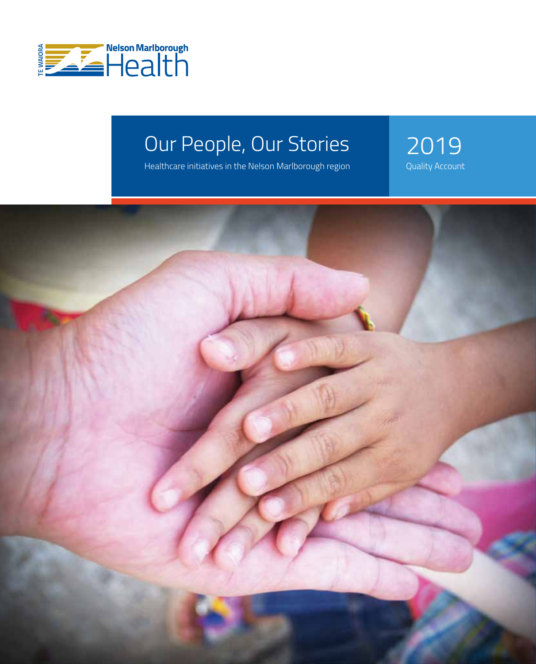

# Our People, Our Stories<br>
Healthcare initiatives in the Nelson Marlborough region<br>
Quality Account

Healthcare initiatives in the Nelson Marlborough region

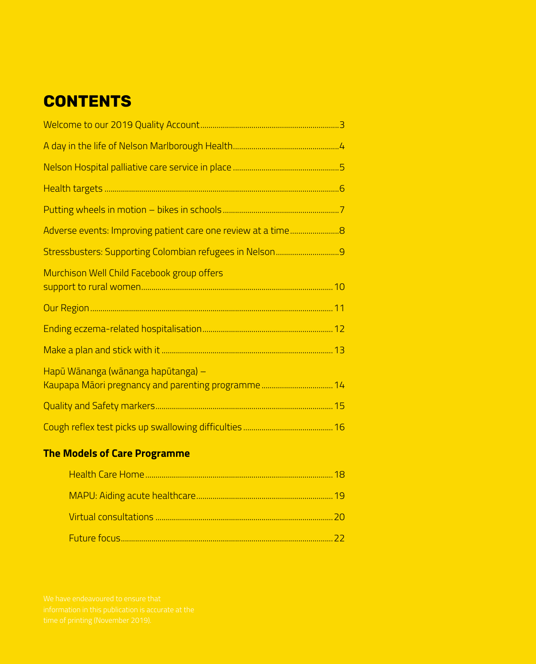# **CONTENTS**

| Murchison Well Child Facebook group offers |  |
|--------------------------------------------|--|
|                                            |  |
|                                            |  |
|                                            |  |
| Hapū Wānanga (wānanga hapūtanga) -         |  |
|                                            |  |
|                                            |  |

# **The Models of Care Programme**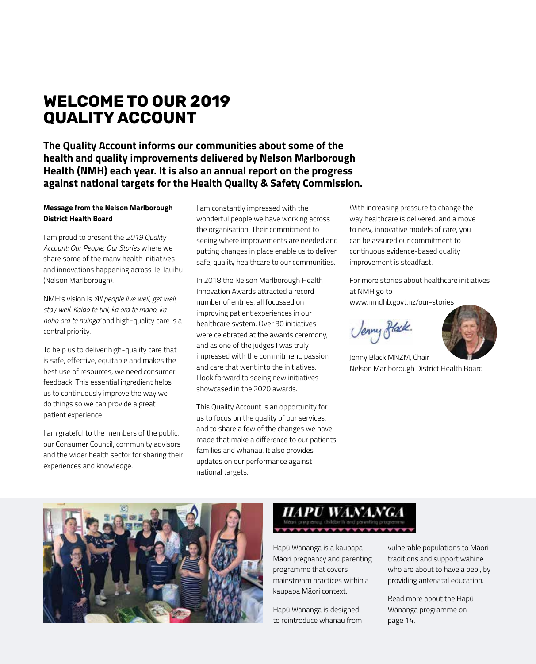# **WELCOME TO OUR 2019 QUALITY ACCOUNT**

**The Quality Account informs our communities about some of the health and quality improvements delivered by Nelson Marlborough Health (NMH) each year. It is also an annual report on the progress against national targets for the Health Quality & Safety Commission.**

#### **Message from the Nelson Marlborough District Health Board**

I am proud to present the *2019 Quality Account: Our People, Our Stories* where we share some of the many health initiatives and innovations happening across Te Tauihu (Nelson Marlborough).

NMH's vision is *'All people live well, get well, stay well. Kaiao te tini, ka ora te mano, ka noho ora te nuinga'* and high-quality care is a central priority.

To help us to deliver high-quality care that is safe, effective, equitable and makes the best use of resources, we need consumer feedback. This essential ingredient helps us to continuously improve the way we do things so we can provide a great patient experience.

I am grateful to the members of the public, our Consumer Council, community advisors and the wider health sector for sharing their experiences and knowledge.

I am constantly impressed with the wonderful people we have working across the organisation. Their commitment to seeing where improvements are needed and putting changes in place enable us to deliver safe, quality healthcare to our communities.

In 2018 the Nelson Marlborough Health Innovation Awards attracted a record number of entries, all focussed on improving patient experiences in our healthcare system. Over 30 initiatives were celebrated at the awards ceremony, and as one of the judges I was truly impressed with the commitment, passion and care that went into the initiatives. I look forward to seeing new initiatives showcased in the 2020 awards.

This Quality Account is an opportunity for us to focus on the quality of our services, and to share a few of the changes we have made that make a difference to our patients, families and whānau. It also provides updates on our performance against national targets.

With increasing pressure to change the way healthcare is delivered, and a move to new, innovative models of care, you can be assured our commitment to continuous evidence-based quality improvement is steadfast.

For more stories about healthcare initiatives at NMH go to

www.nmdhb.govt.nz/our-stories

Jenny Black.



Jenny Black MNZM, Chair Nelson Marlborough District Health Board





Hapū Wānanga is a kaupapa Māori pregnancy and parenting programme that covers mainstream practices within a kaupapa Māori context.

Hapū Wānanga is designed to reintroduce whānau from vulnerable populations to Māori traditions and support wāhine who are about to have a pēpi, by providing antenatal education.

Read more about the Hapū Wānanga programme on page 14.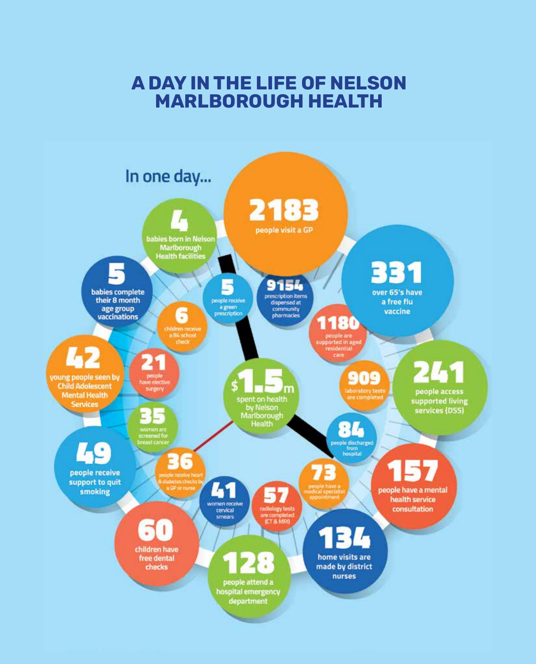# **A DAY IN THE LIFE OF NELSON MARLBOROUGH HEALTH**

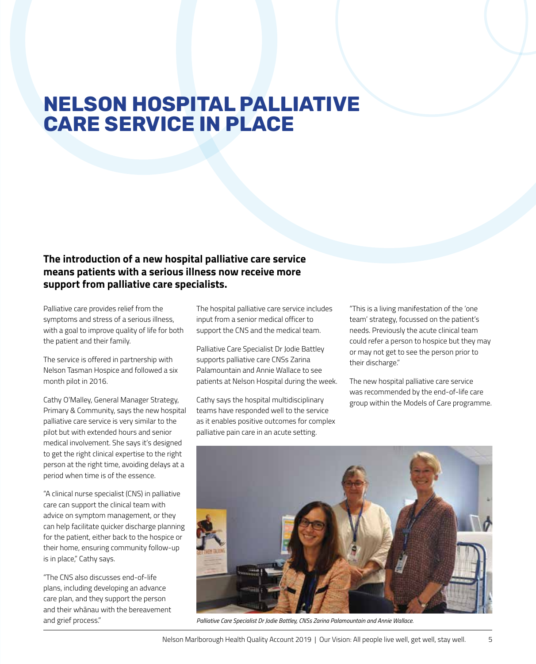# **NELSON HOSPITAL PALLIATIVE CARE SERVICE IN PLACE**

### **The introduction of a new hospital palliative care service means patients with a serious illness now receive more support from palliative care specialists.**

Palliative care provides relief from the symptoms and stress of a serious illness, with a goal to improve quality of life for both the patient and their family.

The service is offered in partnership with Nelson Tasman Hospice and followed a six month pilot in 2016.

Cathy O'Malley, General Manager Strategy, Primary & Community, says the new hospital palliative care service is very similar to the pilot but with extended hours and senior medical involvement. She says it's designed to get the right clinical expertise to the right person at the right time, avoiding delays at a period when time is of the essence.

"A clinical nurse specialist (CNS) in palliative care can support the clinical team with advice on symptom management, or they can help facilitate quicker discharge planning for the patient, either back to the hospice or their home, ensuring community follow-up is in place," Cathy says.

"The CNS also discusses end-of-life plans, including developing an advance care plan, and they support the person and their whānau with the bereavement and grief process."

The hospital palliative care service includes input from a senior medical officer to support the CNS and the medical team.

Palliative Care Specialist Dr Jodie Battley supports palliative care CNSs Zarina Palamountain and Annie Wallace to see patients at Nelson Hospital during the week.

Cathy says the hospital multidisciplinary teams have responded well to the service as it enables positive outcomes for complex palliative pain care in an acute setting.

"This is a living manifestation of the 'one team' strategy, focussed on the patient's needs. Previously the acute clinical team could refer a person to hospice but they may or may not get to see the person prior to their discharge."

The new hospital palliative care service was recommended by the end-of-life care group within the Models of Care programme.



*Palliative Care Specialist Dr Jodie Battley, CNSs Zarina Palamountain and Annie Wallace.*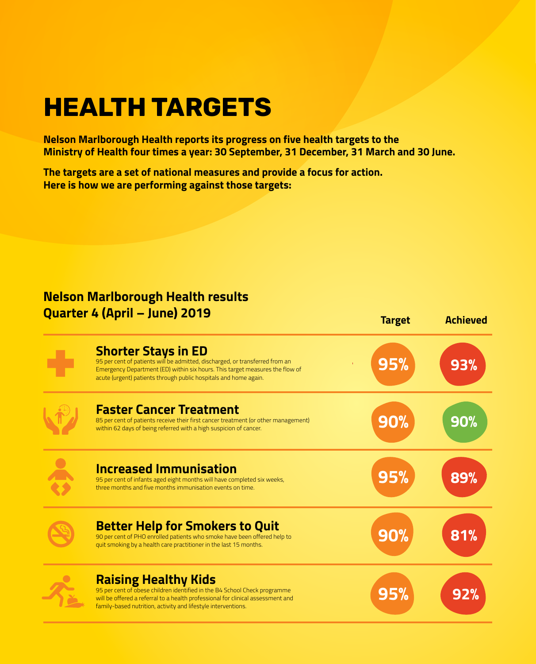# **HEALTH TARGETS**

**Nelson Marlborough Health reports its progress on five health targets to the Ministry of Health four times a year: 30 September, 31 December, 31 March and 30 June.** 

**The targets are a set of national measures and provide a focus for action. Here is how we are performing against those targets:**

# **Nelson Marlborough Health results Quarter 4 (April – June) 2019**

| <b>уммгаа</b> т үзрэн                                                                                                                                                                                                                                          | <b>Target</b> | <b>Achieved</b> |
|----------------------------------------------------------------------------------------------------------------------------------------------------------------------------------------------------------------------------------------------------------------|---------------|-----------------|
| <b>Shorter Stays in ED</b><br>95 per cent of patients will be admitted, discharged, or transferred from an<br>Emergency Department (ED) within six hours. This target measures the flow of<br>acute (urgent) patients through public hospitals and home again. | 95%           | 93%             |
| <b>Faster Cancer Treatment</b><br>85 per cent of patients receive their first cancer treatment (or other management)<br>within 62 days of being referred with a high suspicion of cancer.                                                                      | 90%           | 90%             |
| <b>Increased Immunisation</b><br>95 per cent of infants aged eight months will have completed six weeks,<br>three months and five months immunisation events on time.                                                                                          | 95%           | 89%             |
| <b>Better Help for Smokers to Quit</b><br>90 per cent of PHO enrolled patients who smoke have been offered help to<br>quit smoking by a health care practitioner in the last 15 months.                                                                        | <b>90%</b>    | 81%             |
| <b>Raising Healthy Kids</b><br>95 per cent of obese children identified in the B4 School Check programme<br>will be offered a referral to a health professional for clinical assessment and<br>family-based nutrition, activity and lifestyle interventions.   | 95%           | 92%             |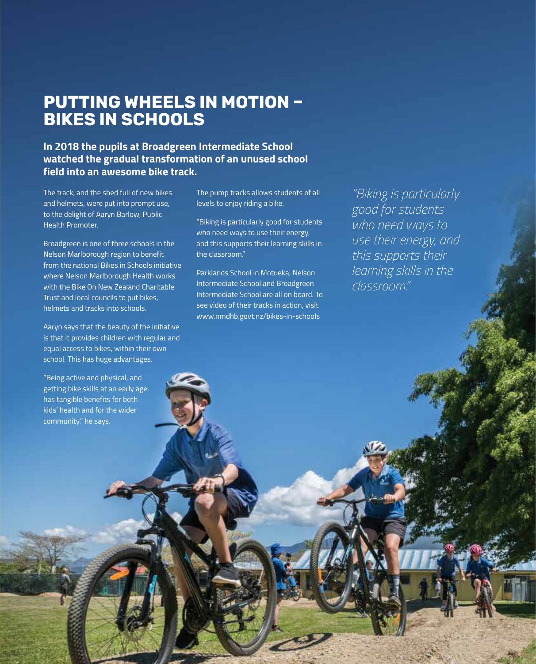# **PUTTING WHEELS IN MOTION – BIKES IN SCHOOLS**

**In 2018 the pupils at Broadgreen Intermediate School watched the gradual transformation of an unused school field into an awesome bike track.**

The track, and the shed full of new bikes and helmets, were put into prompt use, to the delight of Aaryn Barlow, Public Health Promoter.

Broadgreen is one of three schools in the Nelson Marlborough region to benefit from the national Bikes in Schools initiative where Nelson Marlborough Health works with the Bike On New Zealand Charitable Trust and local councils to put bikes, helmets and tracks into schools.

Aaryn says that the beauty of the initiative is that it provides children with regular and equal access to bikes, within their own school. This has huge advantages.

"Being active and physical, and getting bike skills at an early age, has tangible benefits for both kids' health and for the wider community," he says.

The pump tracks allows students of all levels to enjoy riding a bike.

"Biking is particularly good for students who need ways to use their energy, and this supports their learning skills in the classroom."

Parklands School in Motueka, Nelson Intermediate School and Broadgreen Intermediate School are all on board. To see video of their tracks in action, visit www.nmdhb.govt.nz/bikes-in-schools

Nelson Marlborough Health Quality Account 2019 | Our Vision: All people live well, get well, stay well. 7

*"Biking is particularly good for students who need ways to use their energy, and this supports their learning skills in the classroom."*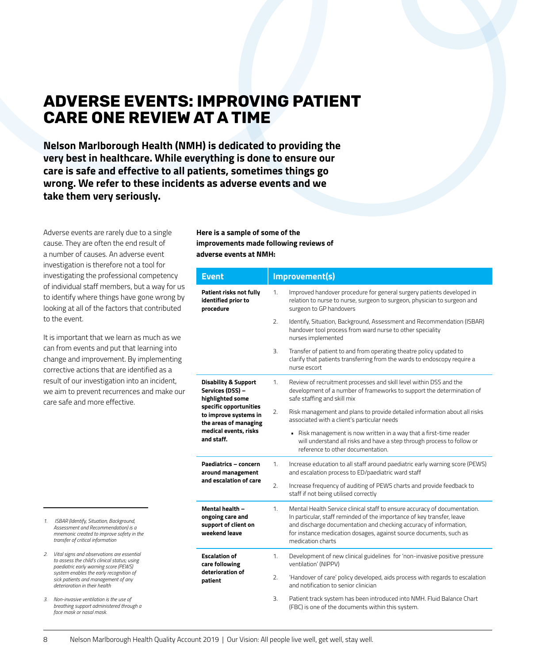# **ADVERSE EVENTS: IMPROVING PATIENT CARE ONE REVIEW AT A TIME**

**Nelson Marlborough Health (NMH) is dedicated to providing the very best in healthcare. While everything is done to ensure our care is safe and effective to all patients, sometimes things go wrong. We refer to these incidents as adverse events and we take them very seriously.** 

Adverse events are rarely due to a single cause. They are often the end result of a number of causes. An adverse event investigation is therefore not a tool for investigating the professional competency of individual staff members, but a way for us to identify where things have gone wrong by looking at all of the factors that contributed to the event.

It is important that we learn as much as we can from events and put that learning into change and improvement. By implementing corrective actions that are identified as a result of our investigation into an incident, we aim to prevent recurrences and make our care safe and more effective.

**Here is a sample of some of the improvements made following reviews of adverse events at NMH:** 

| <b>Event</b>                                                                                                                                                                               | Improvement(s)                                                                                                                                                                                                                                                                                                            |  |
|--------------------------------------------------------------------------------------------------------------------------------------------------------------------------------------------|---------------------------------------------------------------------------------------------------------------------------------------------------------------------------------------------------------------------------------------------------------------------------------------------------------------------------|--|
| Patient risks not fully<br>identified prior to<br>procedure                                                                                                                                | Improved handover procedure for general surgery patients developed in<br>1.<br>relation to nurse to nurse, surgeon to surgeon, physician to surgeon and<br>surgeon to GP handovers                                                                                                                                        |  |
|                                                                                                                                                                                            | 2.<br>Identify, Situation, Background, Assessment and Recommendation (ISBAR)<br>handover tool process from ward nurse to other speciality<br>nurses implemented                                                                                                                                                           |  |
|                                                                                                                                                                                            | 3.<br>Transfer of patient to and from operating theatre policy updated to<br>clarify that patients transferring from the wards to endoscopy require a<br>nurse escort                                                                                                                                                     |  |
| <b>Disability &amp; Support</b><br>Services (DSS) -<br>highlighted some<br>specific opportunities<br>to improve systems in<br>the areas of managing<br>medical events, risks<br>and staff. | Review of recruitment processes and skill level within DSS and the<br>1.<br>development of a number of frameworks to support the determination of<br>safe staffing and skill mix                                                                                                                                          |  |
|                                                                                                                                                                                            | Risk management and plans to provide detailed information about all risks<br>2.<br>associated with a client's particular needs                                                                                                                                                                                            |  |
|                                                                                                                                                                                            | • Risk management is now written in a way that a first-time reader<br>will understand all risks and have a step through process to follow or<br>reference to other documentation.                                                                                                                                         |  |
| Paediatrics - concern<br>around management                                                                                                                                                 | Increase education to all staff around paediatric early warning score (PEWS)<br>1.<br>and escalation process to ED/paediatric ward staff                                                                                                                                                                                  |  |
| and escalation of care                                                                                                                                                                     | 2.<br>Increase frequency of auditing of PEWS charts and provide feedback to<br>staff if not being utilised correctly                                                                                                                                                                                                      |  |
| Mental health -<br>ongoing care and<br>support of client on<br>weekend leave                                                                                                               | Mental Health Service clinical staff to ensure accuracy of documentation.<br>1.<br>In particular, staff reminded of the importance of key transfer, leave<br>and discharge documentation and checking accuracy of information,<br>for instance medication dosages, against source documents, such as<br>medication charts |  |
| <b>Escalation of</b><br>care following                                                                                                                                                     | 1.<br>Development of new clinical guidelines for 'non-invasive positive pressure<br>ventilation' (NIPPV)                                                                                                                                                                                                                  |  |
| deterioration of<br>patient                                                                                                                                                                | 'Handover of care' policy developed, aids process with regards to escalation<br>2.<br>and notification to senior clinician                                                                                                                                                                                                |  |
|                                                                                                                                                                                            | 3.<br>Patient track system has been introduced into NMH. Fluid Balance Chart<br>(FBC) is one of the documents within this system.                                                                                                                                                                                         |  |

- *1. ISBAR (Identify, Situation, Background, Assessment and Recommendation) is a mnemonic created to improve safety in the transfer of critical information*
- *2. Vital signs and observations are essential to assess the child's clinical status; using paediatric early warning score (PEWS) system enables the early recognition of sick patients and management of any deterioration in their health*
- *3. Non-invasive ventilation is the use of breathing support administered through a face mask or nasal mask.*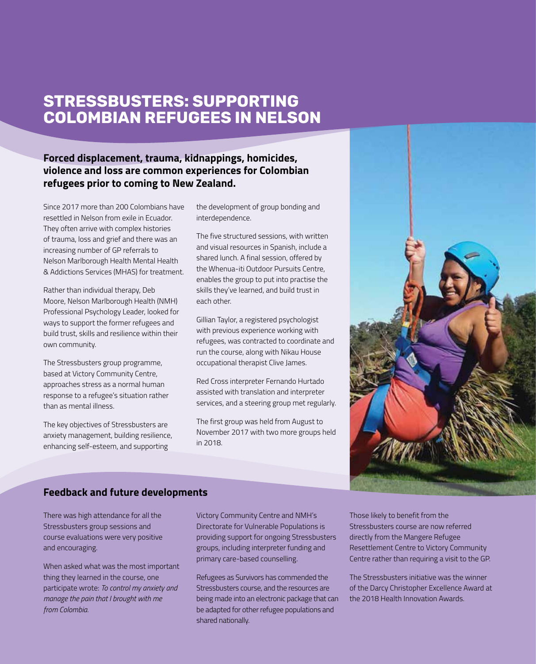# **STRESSBUSTERS: SUPPORTING COLOMBIAN REFUGEES IN NELSON**

### **Forced displacement, trauma, kidnappings, homicides, violence and loss are common experiences for Colombian refugees prior to coming to New Zealand.**

Since 2017 more than 200 Colombians have resettled in Nelson from exile in Ecuador. They often arrive with complex histories of trauma, loss and grief and there was an increasing number of GP referrals to Nelson Marlborough Health Mental Health & Addictions Services (MHAS) for treatment.

Rather than individual therapy, Deb Moore, Nelson Marlborough Health (NMH) Professional Psychology Leader, looked for ways to support the former refugees and build trust, skills and resilience within their own community.

The Stressbusters group programme, based at Victory Community Centre, approaches stress as a normal human response to a refugee's situation rather than as mental illness.

The key objectives of Stressbusters are anxiety management, building resilience, enhancing self-esteem, and supporting

the development of group bonding and interdependence.

The five structured sessions, with written and visual resources in Spanish, include a shared lunch. A final session, offered by the Whenua-iti Outdoor Pursuits Centre, enables the group to put into practise the skills they've learned, and build trust in each other.

Gillian Taylor, a registered psychologist with previous experience working with refugees, was contracted to coordinate and run the course, along with Nikau House occupational therapist Clive James.

Red Cross interpreter Fernando Hurtado assisted with translation and interpreter services, and a steering group met regularly.

The first group was held from August to November 2017 with two more groups held in 2018.



### **Feedback and future developments**

There was high attendance for all the Stressbusters group sessions and course evaluations were very positive and encouraging.

When asked what was the most important thing they learned in the course, one participate wrote: *To control my anxiety and manage the pain that I brought with me from Colombia.*

Victory Community Centre and NMH's Directorate for Vulnerable Populations is providing support for ongoing Stressbusters groups, including interpreter funding and primary care-based counselling.

Refugees as Survivors has commended the Stressbusters course, and the resources are being made into an electronic package that can be adapted for other refugee populations and shared nationally.

Those likely to benefit from the Stressbusters course are now referred directly from the Mangere Refugee Resettlement Centre to Victory Community Centre rather than requiring a visit to the GP.

The Stressbusters initiative was the winner of the Darcy Christopher Excellence Award at the 2018 Health Innovation Awards.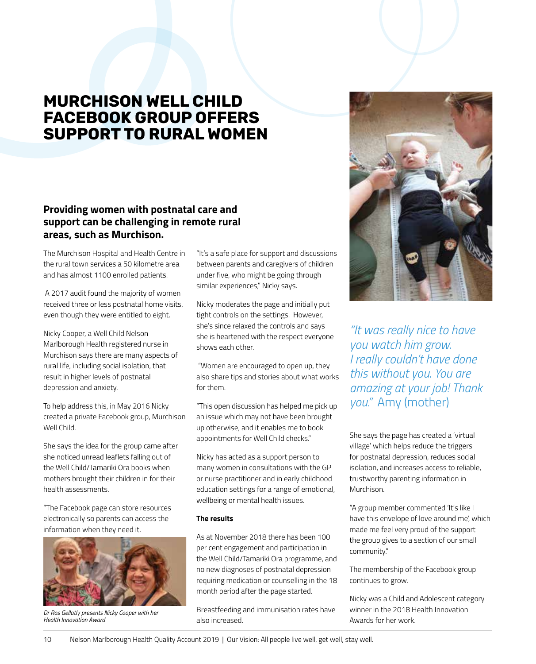# **MURCHISON WELL CHILD FACEBOOK GROUP OFFERS SUPPORT TO RURAL WOMEN**

### **Providing women with postnatal care and support can be challenging in remote rural areas, such as Murchison.**

The Murchison Hospital and Health Centre in the rural town services a 50 kilometre area and has almost 1100 enrolled patients.

 A 2017 audit found the majority of women received three or less postnatal home visits, even though they were entitled to eight.

Nicky Cooper, a Well Child Nelson Marlborough Health registered nurse in Murchison says there are many aspects of rural life, including social isolation, that result in higher levels of postnatal depression and anxiety.

To help address this, in May 2016 Nicky created a private Facebook group, Murchison Well Child.

She says the idea for the group came after she noticed unread leaflets falling out of the Well Child/Tamariki Ora books when mothers brought their children in for their health assessments.

"The Facebook page can store resources electronically so parents can access the information when they need it.



*Dr Ros Gellatly presents Nicky Cooper with her Health Innovation Award*

"It's a safe place for support and discussions between parents and caregivers of children under five, who might be going through similar experiences," Nicky says.

Nicky moderates the page and initially put tight controls on the settings. However, she's since relaxed the controls and says she is heartened with the respect everyone shows each other.

 "Women are encouraged to open up, they also share tips and stories about what works for them.

"This open discussion has helped me pick up an issue which may not have been brought up otherwise, and it enables me to book appointments for Well Child checks."

Nicky has acted as a support person to many women in consultations with the GP or nurse practitioner and in early childhood education settings for a range of emotional, wellbeing or mental health issues.

#### **The results**

As at November 2018 there has been 100 per cent engagement and participation in the Well Child/Tamariki Ora programme, and no new diagnoses of postnatal depression requiring medication or counselling in the 18 month period after the page started.

Breastfeeding and immunisation rates have also increased.



*"It was really nice to have you watch him grow. I really couldn't have done this without you. You are amazing at your job! Thank you."* Amy (mother)

She says the page has created a 'virtual village' which helps reduce the triggers for postnatal depression, reduces social isolation, and increases access to reliable, trustworthy parenting information in Murchison.

"A group member commented 'It's like I have this envelope of love around me', which made me feel very proud of the support the group gives to a section of our small community."

The membership of the Facebook group continues to grow.

Nicky was a Child and Adolescent category winner in the 2018 Health Innovation Awards for her work.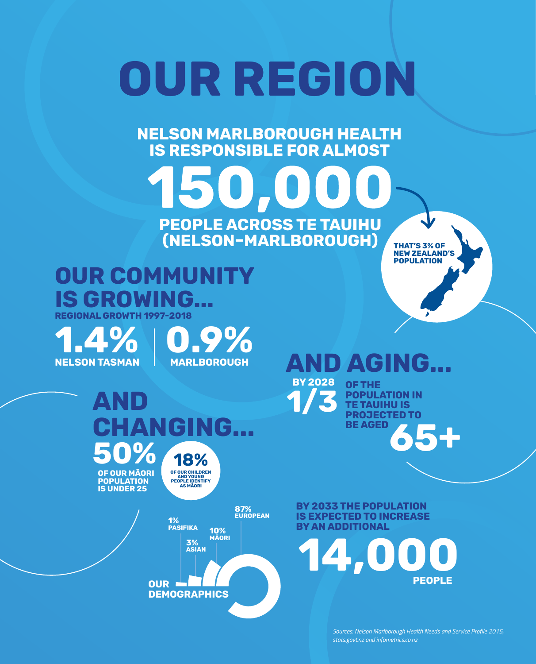# **OUR REGION**

**NELSON MARLBOROUGH HEALTH IS RESPONSIBLE FOR ALMOST** 

**PEOPLE ACROSS TE TAUIHU** 

# **(NELSON–MARLBOROUGH) OUR COMMUNITY IS GROWING...**

**THAT'S 3% OF NEW ZEALAND'S POPULATION**

# **REGIONAL GROWTH 1997-2018**

**NELSON TASMAN**

**1.4% 0.9% MARLBOROUGH**

#### **AND CHANGING... 50% OF OUR MĀORI POPULATION 18% OF OUR CHILDREN AND YOUNG PEOPLE IDENTIFY AS MĀORI**

**IS UNDER 25**



**OUR DEMOGRAPHICS**

# **AND AGING...**



Nelson Marlborough Health Quality Account 2019 | Our Vision: All people live well, get well, stay well. 11 *stats.govt.nz and infometrics.co.nz*

**65+ BY THE POPULATION IN TE TAUIHU IS PROJECTED TO BE AGED** 

**PEOPLE**

*Sources: Nelson Marlborough Health Needs and Service Profile 2015,* 

**BY 2033 THE POPULATION IS EXPECTED TO INCREASE BY AN ADDITIONAL** 

**14,000**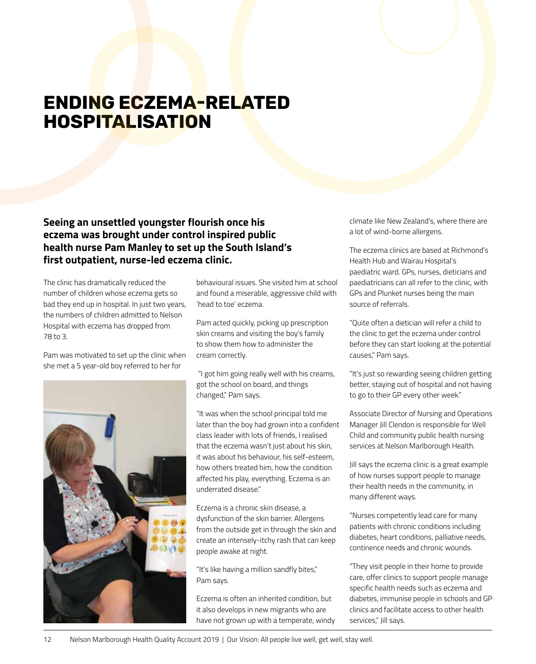# **ENDING ECZEMA-RELATED HOSPITALISATION**

### **Seeing an unsettled youngster flourish once his eczema was brought under control inspired public health nurse Pam Manley to set up the South Island's first outpatient, nurse-led eczema clinic.**

The clinic has dramatically reduced the number of children whose eczema gets so bad they end up in hospital. In just two years, the numbers of children admitted to Nelson Hospital with eczema has dropped from 78 to 3.

Pam was motivated to set up the clinic when she met a 5 year-old boy referred to her for



behavioural issues. She visited him at school and found a miserable, aggressive child with 'head to toe' eczema.

Pam acted quickly, picking up prescription skin creams and visiting the boy's family to show them how to administer the cream correctly.

 "I got him going really well with his creams, got the school on board, and things changed," Pam says.

"It was when the school principal told me later than the boy had grown into a confident class leader with lots of friends, I realised that the eczema wasn't just about his skin, it was about his behaviour, his self-esteem, how others treated him, how the condition affected his play, everything. Eczema is an underrated disease."

Eczema is a chronic skin disease, a dysfunction of the skin barrier. Allergens from the outside get in through the skin and create an intensely-itchy rash that can keep people awake at night.

"It's like having a million sandfly bites," Pam says.

Eczema is often an inherited condition, but it also develops in new migrants who are have not grown up with a temperate, windy climate like New Zealand's, where there are a lot of wind-borne allergens.

The eczema clinics are based at Richmond's Health Hub and Wairau Hospital's paediatric ward. GPs, nurses, dieticians and paediatricians can all refer to the clinic, with GPs and Plunket nurses being the main source of referrals.

"Quite often a dietician will refer a child to the clinic to get the eczema under control before they can start looking at the potential causes," Pam says.

"It's just so rewarding seeing children getting better, staying out of hospital and not having to go to their GP every other week."

Associate Director of Nursing and Operations Manager Jill Clendon is responsible for Well Child and community public health nursing services at Nelson Marlborough Health.

Jill says the eczema clinic is a great example of how nurses support people to manage their health needs in the community, in many different ways.

"Nurses competently lead care for many patients with chronic conditions including diabetes, heart conditions, palliative needs, continence needs and chronic wounds.

"They visit people in their home to provide care, offer clinics to support people manage specific health needs such as eczema and diabetes, immunise people in schools and GP clinics and facilitate access to other health services," Jill says.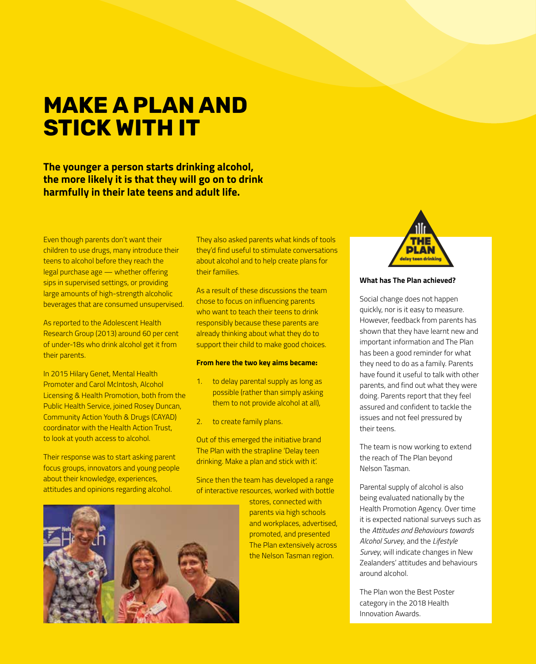# **MAKE A PLAN AND STICK WITH IT**

**The younger a person starts drinking alcohol, the more likely it is that they will go on to drink harmfully in their late teens and adult life.** 

Even though parents don't want their children to use drugs, many introduce their teens to alcohol before they reach the legal purchase age — whether offering sips in supervised settings, or providing large amounts of high-strength alcoholic beverages that are consumed unsupervised.

As reported to the Adolescent Health Research Group (2013) around 60 per cent of under-18s who drink alcohol get it from their parents.

In 2015 Hilary Genet, Mental Health Promoter and Carol McIntosh, Alcohol Licensing & Health Promotion, both from the Public Health Service, joined Rosey Duncan, Community Action Youth & Drugs (CAYAD) coordinator with the Health Action Trust, to look at youth access to alcohol.

Their response was to start asking parent focus groups, innovators and young people about their knowledge, experiences, attitudes and opinions regarding alcohol.

They also asked parents what kinds of tools they'd find useful to stimulate conversations about alcohol and to help create plans for their families.

As a result of these discussions the team chose to focus on influencing parents who want to teach their teens to drink responsibly because these parents are already thinking about what they do to support their child to make good choices.

#### **From here the two key aims became:**

- 1. to delay parental supply as long as possible (rather than simply asking them to not provide alcohol at all),
- 2. to create family plans.

Out of this emerged the initiative brand The Plan with the strapline 'Delay teen drinking. Make a plan and stick with it'.

Since then the team has developed a range of interactive resources, worked with bottle

> stores, connected with parents via high schools and workplaces, advertised, promoted, and presented The Plan extensively across the Nelson Tasman region.



#### **What has The Plan achieved?**

Social change does not happen quickly, nor is it easy to measure. However, feedback from parents has shown that they have learnt new and important information and The Plan has been a good reminder for what they need to do as a family. Parents have found it useful to talk with other parents, and find out what they were doing. Parents report that they feel assured and confident to tackle the issues and not feel pressured by their teens.

The team is now working to extend the reach of The Plan beyond Nelson Tasman.

Parental supply of alcohol is also being evaluated nationally by the Health Promotion Agency. Over time it is expected national surveys such as the *Attitudes and Behaviours towards Alcohol Survey*, and the *Lifestyle Survey*, will indicate changes in New Zealanders' attitudes and behaviours around alcohol.

The Plan won the Best Poster category in the 2018 Health Innovation Awards.

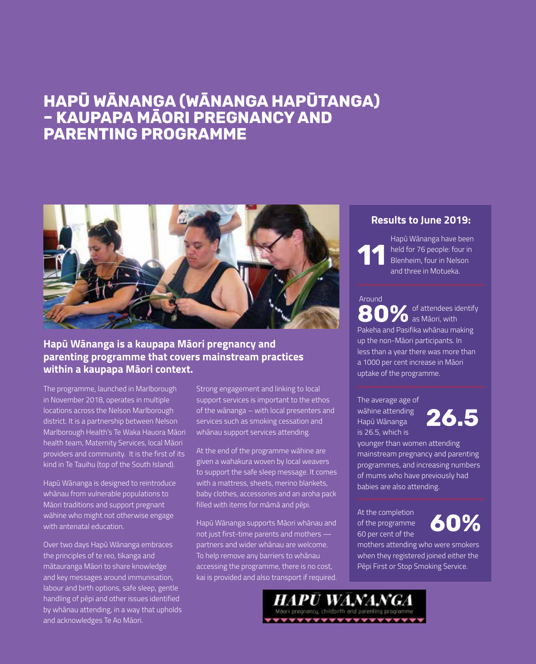# **HAPŪ WĀNANGA (WĀNANGA HAPŪTANGA) – KAUPAPA MĀORI PREGNANCY AND PARENTING PROGRAMME**



### **Hapū Wānanga is a kaupapa Māori pregnancy and parenting programme that covers mainstream practices within a kaupapa Māori context.**

The programme, launched in Marlborough in November 2018, operates in multiple locations across the Nelson Marlborough district. It is a partnership between Nelson Marlborough Health's Te Waka Hauora Māori health team, Maternity Services, local Māori providers and community. It is the first of its kind in Te Tauihu (top of the South Island).

Hapū Wānanga is designed to reintroduce whānau from vulnerable populations to Māori traditions and support pregnant wāhine who might not otherwise engage with antenatal education.

Over two days Hapū Wānanga embraces the principles of te reo, tikanga and mātauranga Māori to share knowledge and key messages around immunisation, labour and birth options, safe sleep, gentle handling of pēpi and other issues identified by whānau attending, in a way that upholds and acknowledges Te Ao Māori.

Strong engagement and linking to local support services is important to the ethos of the wānanga – with local presenters and services such as smoking cessation and whānau support services attending.

At the end of the programme wāhine are given a wahakura woven by local weavers to support the safe sleep message. It comes with a mattress, sheets, merino blankets, baby clothes, accessories and an aroha pack filled with items for māmā and pēpi.

Hapū Wānanga supports Māori whānau and not just first-time parents and mothers partners and wider whānau are welcome. To help remove any barriers to whānau accessing the programme, there is no cost, kai is provided and also transport if required.

#### **Results to June 2019:**

**11** Hapū Wānanga have been held for 76 people: four in Blenheim, four in Nelson and three in Motueka.

#### Around

of attendees identify **20** as Māori, with Pakeha and Pasifika whānau making up the non-Māori participants. In less than a year there was more than a 1000 per cent increase in Māori uptake of the programme. **80%**

The average age of wāhine attending Hapū Wānanga is 26.5, which is



younger than women attending mainstream pregnancy and parenting programmes, and increasing numbers of mums who have previously had babies are also attending.

At the completion of the programme 60 per cent of the

PU WANA

\*\*\*\*\*\*\*\*\*\*\*\*\*\*\*\*

# **60%**

mothers attending who were smokers when they registered joined either the Pēpi First or Stop Smoking Service.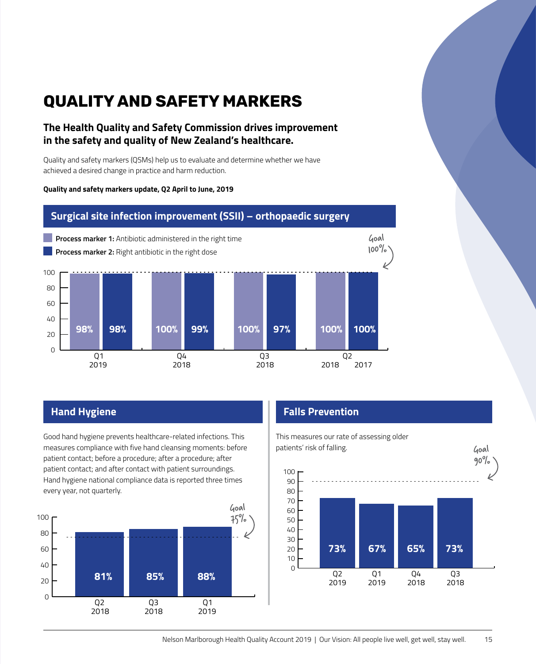# **QUALITY AND SAFETY MARKERS**

### **The Health Quality and Safety Commission drives improvement in the safety and quality of New Zealand's healthcare.**

Quality and safety markers (QSMs) help us to evaluate and determine whether we have achieved a desired change in practice and harm reduction.

#### **Quality and safety markers update, Q2 April to June, 2019**

### **Surgical site infection improvement (SSII) – orthopaedic surgery**



Good hand hygiene prevents healthcare-related infections. This measures compliance with five hand cleansing moments: before patient contact; before a procedure; after a procedure; after patient contact; and after contact with patient surroundings. Hand hygiene national compliance data is reported three times every year, not quarterly.



# **Hand Hygiene Falls Prevention**

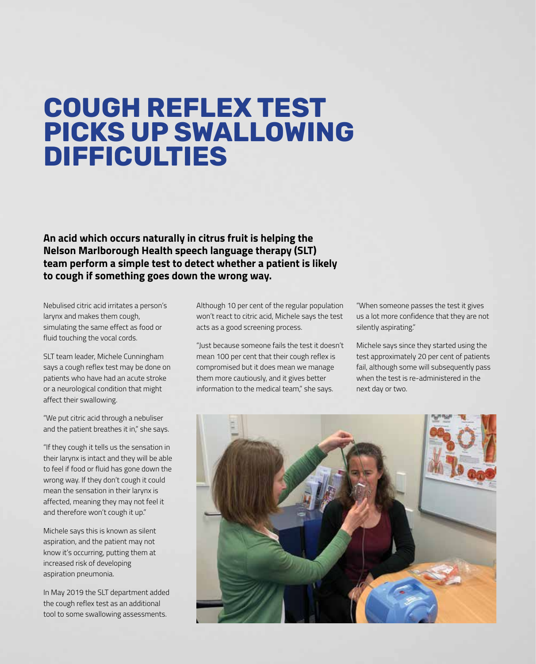# **COUGH REFLEX TEST PICKS UP SWALLOWING DIFFICULTIES**

**An acid which occurs naturally in citrus fruit is helping the Nelson Marlborough Health speech language therapy (SLT) team perform a simple test to detect whether a patient is likely to cough if something goes down the wrong way.**

Nebulised citric acid irritates a person's larynx and makes them cough, simulating the same effect as food or fluid touching the vocal cords.

SLT team leader, Michele Cunningham says a cough reflex test may be done on patients who have had an acute stroke or a neurological condition that might affect their swallowing.

"We put citric acid through a nebuliser and the patient breathes it in," she says.

"If they cough it tells us the sensation in their larynx is intact and they will be able to feel if food or fluid has gone down the wrong way. If they don't cough it could mean the sensation in their larynx is affected, meaning they may not feel it and therefore won't cough it up."

Michele says this is known as silent aspiration, and the patient may not know it's occurring, putting them at increased risk of developing aspiration pneumonia.

In May 2019 the SLT department added the cough reflex test as an additional tool to some swallowing assessments.

Although 10 per cent of the regular population won't react to citric acid, Michele says the test acts as a good screening process.

"Just because someone fails the test it doesn't mean 100 per cent that their cough reflex is compromised but it does mean we manage them more cautiously, and it gives better information to the medical team," she says.

"When someone passes the test it gives us a lot more confidence that they are not silently aspirating."

Michele says since they started using the test approximately 20 per cent of patients fail, although some will subsequently pass when the test is re-administered in the next day or two.

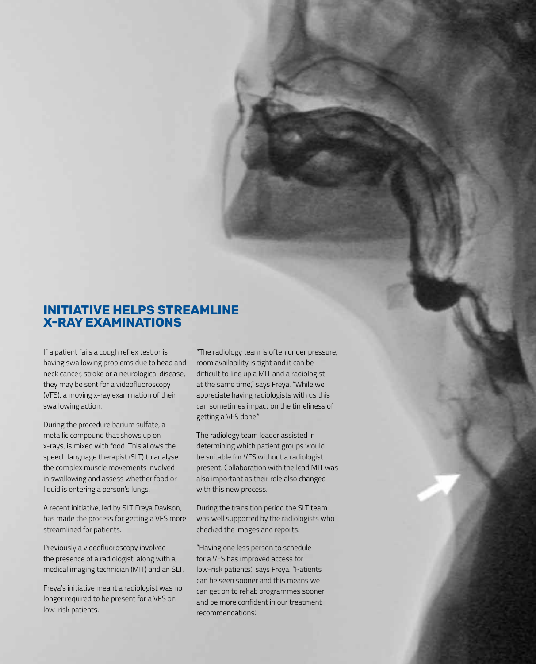### **INITIATIVE HELPS STREAMLINE X-RAY EXAMINATIONS**

If a patient fails a cough reflex test or is having swallowing problems due to head and neck cancer, stroke or a neurological disease, they may be sent for a videofluoroscopy (VFS), a moving x-ray examination of their swallowing action.

During the procedure barium sulfate, a metallic compound that shows up on x-rays, is mixed with food. This allows the speech language therapist (SLT) to analyse the complex muscle movements involved in swallowing and assess whether food or liquid is entering a person's lungs.

A recent initiative, led by SLT Freya Davison, has made the process for getting a VFS more streamlined for patients.

Previously a videofluoroscopy involved the presence of a radiologist, along with a medical imaging technician (MIT) and an SLT.

Freya's initiative meant a radiologist was no longer required to be present for a VFS on low-risk patients.

"The radiology team is often under pressure, room availability is tight and it can be difficult to line up a MIT and a radiologist at the same time," says Freya. "While we appreciate having radiologists with us this can sometimes impact on the timeliness of getting a VFS done."

The radiology team leader assisted in determining which patient groups would be suitable for VFS without a radiologist present. Collaboration with the lead MIT was also important as their role also changed with this new process.

During the transition period the SLT team was well supported by the radiologists who checked the images and reports.

"Having one less person to schedule for a VFS has improved access for low-risk patients," says Freya. "Patients can be seen sooner and this means we can get on to rehab programmes sooner and be more confident in our treatment recommendations."

Nelson Marlborough Health Quality Account 2019 | Our Vision: All people live well, get well, stay well. 17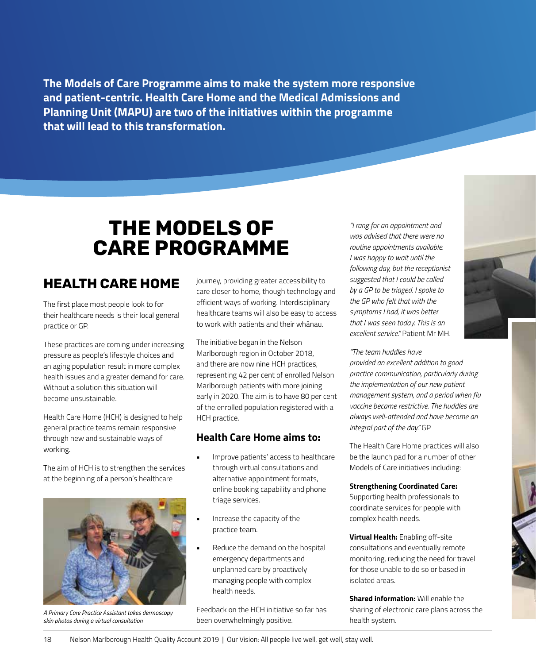**The Models of Care Programme aims to make the system more responsive and patient-centric. Health Care Home and the Medical Admissions and Planning Unit (MAPU) are two of the initiatives within the programme that will lead to this transformation.** 

# **THE MODELS OF CARE PROGRAMME**

# **HEALTH CARE HOME**

The first place most people look to for their healthcare needs is their local general practice or GP.

These practices are coming under increasing pressure as people's lifestyle choices and an aging population result in more complex health issues and a greater demand for care. Without a solution this situation will become unsustainable.

Health Care Home (HCH) is designed to help general practice teams remain responsive through new and sustainable ways of working.

The aim of HCH is to strengthen the services at the beginning of a person's healthcare



*A Primary Care Practice Assistant takes dermoscopy skin photos during a virtual consultation*

journey, providing greater accessibility to care closer to home, though technology and efficient ways of working. Interdisciplinary healthcare teams will also be easy to access to work with patients and their whānau.

The initiative began in the Nelson Marlborough region in October 2018, and there are now nine HCH practices, representing 42 per cent of enrolled Nelson Marlborough patients with more joining early in 2020. The aim is to have 80 per cent of the enrolled population registered with a HCH practice.

#### **Health Care Home aims to:**

- Improve patients' access to healthcare through virtual consultations and alternative appointment formats, online booking capability and phone triage services.
- Increase the capacity of the practice team.
- Reduce the demand on the hospital emergency departments and unplanned care by proactively managing people with complex health needs.

Feedback on the HCH initiative so far has been overwhelmingly positive.

*"I rang for an appointment and was advised that there were no routine appointments available. I was happy to wait until the following day, but the receptionist suggested that I could be called by a GP to be triaged. I spoke to the GP who felt that with the symptoms I had, it was better that I was seen today. This is an excellent service."* Patient Mr MH.

*"The team huddles have* 

*provided an excellent addition to good practice communication, particularly during the implementation of our new patient management system, and a period when flu vaccine became restrictive. The huddles are always well-attended and have become an integral part of the day."* GP

The Health Care Home practices will also be the launch pad for a number of other Models of Care initiatives including:

#### **Strengthening Coordinated Care:**

Supporting health professionals to coordinate services for people with complex health needs.

**Virtual Health:** Enabling off-site consultations and eventually remote monitoring, reducing the need for travel for those unable to do so or based in isolated areas.

**Shared information:** Will enable the sharing of electronic care plans across the health system.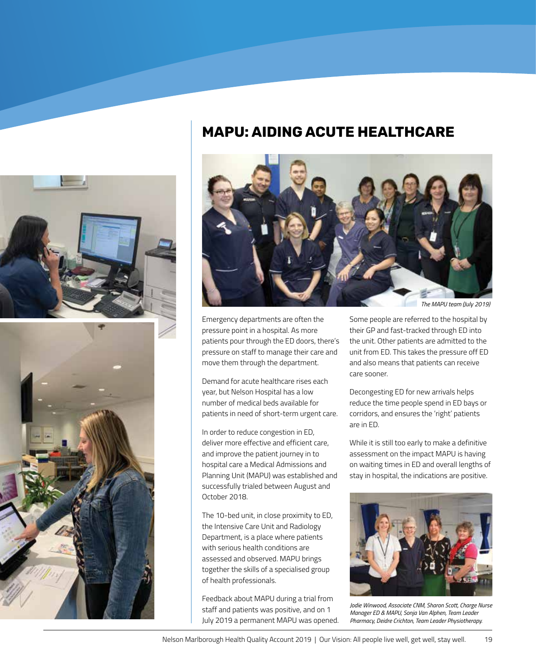



# **MAPU: AIDING ACUTE HEALTHCARE**



Emergency departments are often the pressure point in a hospital. As more patients pour through the ED doors, there's pressure on staff to manage their care and move them through the department.

Demand for acute healthcare rises each year, but Nelson Hospital has a low number of medical beds available for patients in need of short-term urgent care.

In order to reduce congestion in ED, deliver more effective and efficient care, and improve the patient journey in to hospital care a Medical Admissions and Planning Unit (MAPU) was established and successfully trialed between August and October 2018.

The 10-bed unit, in close proximity to ED, the Intensive Care Unit and Radiology Department, is a place where patients with serious health conditions are assessed and observed. MAPU brings together the skills of a specialised group of health professionals.

Feedback about MAPU during a trial from staff and patients was positive, and on 1 July 2019 a permanent MAPU was opened. Some people are referred to the hospital by their GP and fast-tracked through ED into the unit. Other patients are admitted to the unit from ED. This takes the pressure off ED and also means that patients can receive care sooner.

Decongesting ED for new arrivals helps reduce the time people spend in ED bays or corridors, and ensures the 'right' patients are in ED.

While it is still too early to make a definitive assessment on the impact MAPU is having on waiting times in ED and overall lengths of stay in hospital, the indications are positive.



*Jodie Winwood, Associate CNM, Sharon Scott, Charge Nurse Manager ED & MAPU, Sonja Van Alphen, Team Leader Pharmacy, Deidre Crichton, Team Leader Physiotherapy.*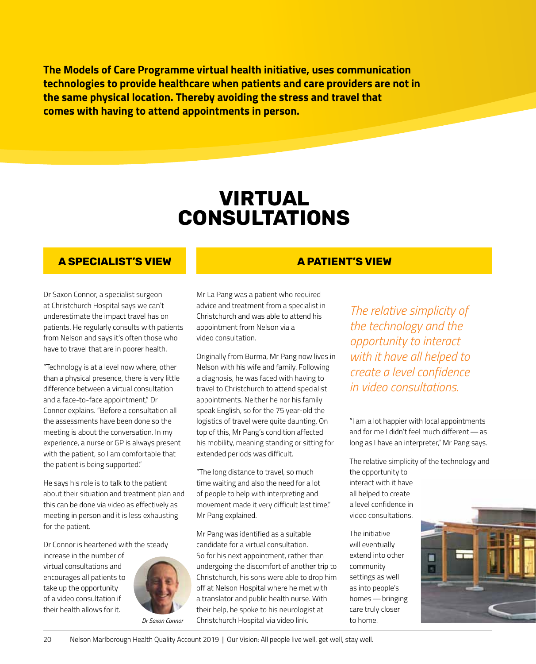**The Models of Care Programme virtual health initiative, uses communication technologies to provide healthcare when patients and care providers are not in the same physical location. Thereby avoiding the stress and travel that comes with having to attend appointments in person.** 

# **VIRTUAL CONSULTATIONS**

#### **A SPECIALIST'S VIEW A PATIENT'S VIEW**

Dr Saxon Connor, a specialist surgeon at Christchurch Hospital says we can't underestimate the impact travel has on patients. He regularly consults with patients from Nelson and says it's often those who have to travel that are in poorer health.

"Technology is at a level now where, other than a physical presence, there is very little difference between a virtual consultation and a face-to-face appointment," Dr Connor explains. "Before a consultation all the assessments have been done so the meeting is about the conversation. In my experience, a nurse or GP is always present with the patient, so I am comfortable that the patient is being supported."

He says his role is to talk to the patient about their situation and treatment plan and this can be done via video as effectively as meeting in person and it is less exhausting for the patient.

Dr Connor is heartened with the steady

increase in the number of virtual consultations and encourages all patients to take up the opportunity of a video consultation if their health allows for it.



Mr La Pang was a patient who required advice and treatment from a specialist in Christchurch and was able to attend his appointment from Nelson via a video consultation.

Originally from Burma, Mr Pang now lives in Nelson with his wife and family. Following a diagnosis, he was faced with having to travel to Christchurch to attend specialist appointments. Neither he nor his family speak English, so for the 75 year-old the logistics of travel were quite daunting. On top of this, Mr Pang's condition affected his mobility, meaning standing or sitting for extended periods was difficult.

"The long distance to travel, so much time waiting and also the need for a lot of people to help with interpreting and movement made it very difficult last time," Mr Pang explained.

Mr Pang was identified as a suitable candidate for a virtual consultation. So for his next appointment, rather than undergoing the discomfort of another trip to Christchurch, his sons were able to drop him off at Nelson Hospital where he met with a translator and public health nurse. With their help, he spoke to his neurologist at Christchurch Hospital via video link.

*The relative simplicity of the technology and the opportunity to interact with it have all helped to create a level confidence in video consultations.* 

"I am a lot happier with local appointments and for me I didn't feel much different—as long as I have an interpreter," Mr Pang says.

The relative simplicity of the technology and the opportunity to

interact with it have all helped to create a level confidence in video consultations.

The initiative will eventually extend into other community settings as well as into people's homes—bringing care truly closer to home.



20 Nelson Marlborough Health Quality Account 2019 | Our Vision: All people live well, get well, stay well.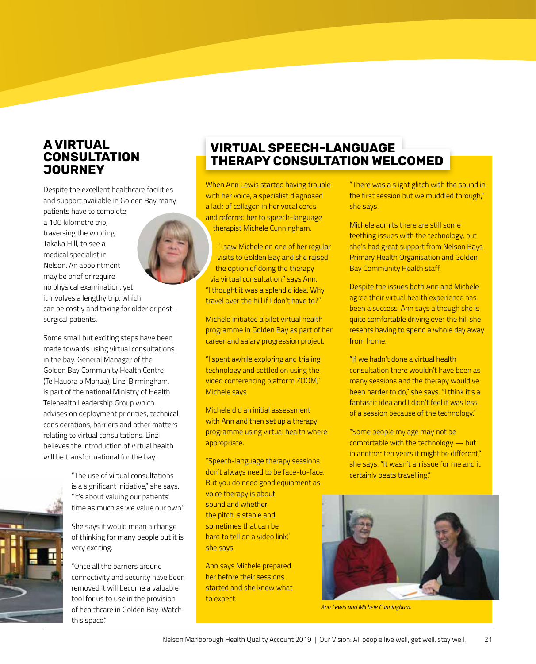### **A VIRTUAL CONSULTATION JOURNEY**

Despite the excellent healthcare facilities and support available in Golden Bay many

patients have to complete a 100 kilometre trip, traversing the winding Takaka Hill, to see a medical specialist in Nelson. An appointment may be brief or require no physical examination, yet it involves a lengthy trip, which can be costly and taxing for older or postsurgical patients.

Some small but exciting steps have been made towards using virtual consultations in the bay. General Manager of the Golden Bay Community Health Centre (Te Hauora o Mohua), Linzi Birmingham, is part of the national Ministry of Health Telehealth Leadership Group which advises on deployment priorities, technical considerations, barriers and other matters relating to virtual consultations. Linzi believes the introduction of virtual health will be transformational for the bay.

> "The use of virtual consultations is a significant initiative," she says. "It's about valuing our patients' time as much as we value our own."

She says it would mean a change of thinking for many people but it is very exciting.

"Once all the barriers around connectivity and security have been removed it will become a valuable tool for us to use in the provision of healthcare in Golden Bay. Watch this space."

# **VIRTUAL SPEECH-LANGUAGE THERAPY CONSULTATION WELCOMED**

When Ann Lewis started having trouble with her voice, a specialist diagnosed a lack of collagen in her vocal cords and referred her to speech-language therapist Michele Cunningham.

"I saw Michele on one of her regular visits to Golden Bay and she raised the option of doing the therapy via virtual consultation," says Ann. "I thought it was a splendid idea. Why travel over the hill if I don't have to?"

Michele initiated a pilot virtual health programme in Golden Bay as part of her career and salary progression project.

"I spent awhile exploring and trialing technology and settled on using the video conferencing platform ZOOM," Michele says.

Michele did an initial assessment with Ann and then set up a therapy programme using virtual health where appropriate.

"Speech-language therapy sessions don't always need to be face-to-face. But you do need good equipment as voice therapy is about

sound and whether the pitch is stable and sometimes that can be hard to tell on a video link," she says.

Ann says Michele prepared her before their sessions started and she knew what to expect.

"There was a slight glitch with the sound in the first session but we muddled through," she says.

Michele admits there are still some teething issues with the technology, but she's had great support from Nelson Bays Primary Health Organisation and Golden Bay Community Health staff.

Despite the issues both Ann and Michele agree their virtual health experience has been a success. Ann says although she is quite comfortable driving over the hill she resents having to spend a whole day away from home.

"If we hadn't done a virtual health consultation there wouldn't have been as many sessions and the therapy would've been harder to do," she says. "I think it's a fantastic idea and I didn't feel it was less of a session because of the technology."

"Some people my age may not be comfortable with the technology — but in another ten years it might be different," she says. "It wasn't an issue for me and it certainly beats travelling."



*Ann Lewis and Michele Cunningham.*

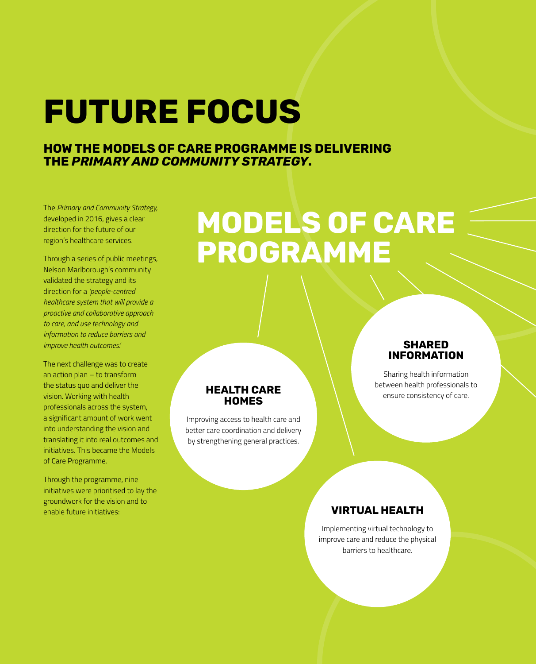# **FUTURE FOCUS**

### **HOW THE MODELS OF CARE PROGRAMME IS DELIVERING THE** *PRIMARY AND COMMUNITY STRATEGY***.**

The *Primary and Community Strategy,* developed in 2016, gives a clear direction for the future of our region's healthcare services.

Through a series of public meetings, Nelson Marlborough's community validated the strategy and its direction for a *'people-centred healthcare system that will provide a proactive and collaborative approach to care, and use technology and information to reduce barriers and improve health outcomes.'*

The next challenge was to create an action plan – to transform the status quo and deliver the vision. Working with health professionals across the system, a significant amount of work went into understanding the vision and translating it into real outcomes and initiatives. This became the Models of Care Programme.

Through the programme, nine initiatives were prioritised to lay the groundwork for the vision and to enable future initiatives:

# **MODELS OF CARE PROGRAMME**

#### **HEALTH CARE HOMES**

Improving access to health care and better care coordination and delivery by strengthening general practices.

#### **SHARED INFORMATION**

Sharing health information between health professionals to ensure consistency of care.

## **VIRTUAL HEALTH**

Implementing virtual technology to improve care and reduce the physical barriers to healthcare.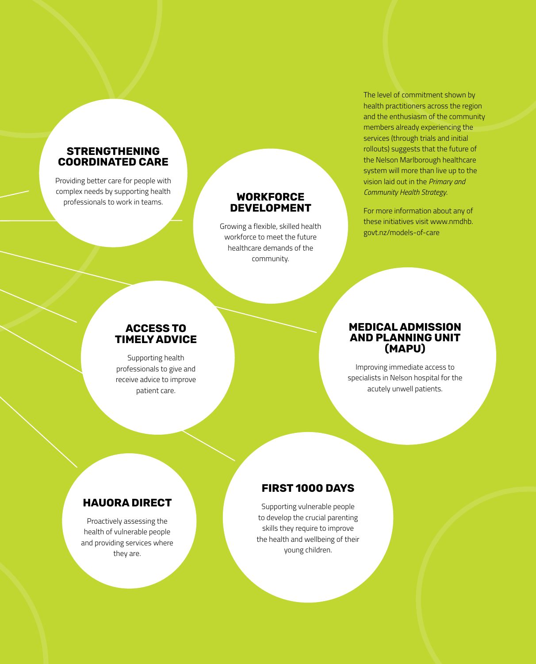#### **STRENGTHENING COORDINATED CARE**

Providing better care for people with complex needs by supporting health professionals to work in teams.

#### **WORKFORCE DEVELOPMENT**

Growing a flexible, skilled health workforce to meet the future healthcare demands of the community.

The level of commitment shown by health practitioners across the region and the enthusiasm of the community members already experiencing the services (through trials and initial rollouts) suggests that the future of the Nelson Marlborough healthcare system will more than live up to the vision laid out in the *Primary and Community Health Strategy*.

For more information about any of these initiatives visit www.nmdhb. govt.nz/models-of-care

#### **ACCESS TO TIMELY ADVICE**

Supporting health professionals to give and receive advice to improve patient care.

#### **MEDICAL ADMISSION AND PLANNING UNIT (MAPU)**

Improving immediate access to specialists in Nelson hospital for the acutely unwell patients.

## **HAUORA DIRECT**

Proactively assessing the health of vulnerable people and providing services where they are.

# **FIRST 1000 DAYS**

Supporting vulnerable people to develop the crucial parenting skills they require to improve the health and wellbeing of their young children.